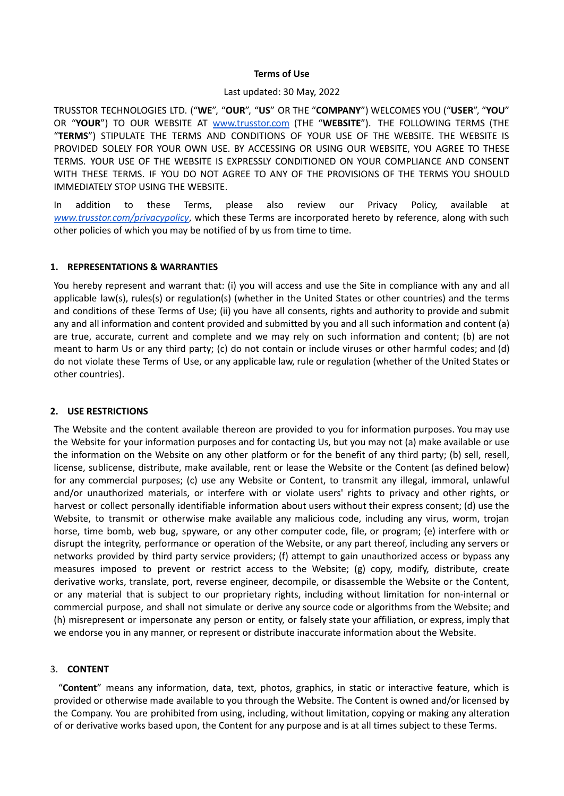### **Terms of Use**

### Last updated: 30 May, 2022

TRUSSTOR TECHNOLOGIES LTD. ("**WE**", "**OUR**", "**US**" OR THE "**COMPANY**") WELCOMES YOU ("**USER**", "**YOU**" OR "**YOUR**") TO OUR WEBSITE AT [www.trusstor.com](http://www.trusstor.com) (THE "**WEBSITE**"). THE FOLLOWING TERMS (THE "**TERMS**") STIPULATE THE TERMS AND CONDITIONS OF YOUR USE OF THE WEBSITE. THE WEBSITE IS PROVIDED SOLELY FOR YOUR OWN USE. BY ACCESSING OR USING OUR WEBSITE, YOU AGREE TO THESE TERMS. YOUR USE OF THE WEBSITE IS EXPRESSLY CONDITIONED ON YOUR COMPLIANCE AND CONSENT WITH THESE TERMS. IF YOU DO NOT AGREE TO ANY OF THE PROVISIONS OF THE TERMS YOU SHOULD IMMEDIATELY STOP USING THE WEBSITE.

In addition to these Terms, please also review our Privacy Policy, available at *[www.trusstor.com/privacypolicy](http://www.trusstor.com/privacypolicy)*, which these Terms are incorporated hereto by reference, along with such other policies of which you may be notified of by us from time to time.

# **1. REPRESENTATIONS & WARRANTIES**

You hereby represent and warrant that: (i) you will access and use the Site in compliance with any and all applicable law(s), rules(s) or regulation(s) (whether in the United States or other countries) and the terms and conditions of these Terms of Use; (ii) you have all consents, rights and authority to provide and submit any and all information and content provided and submitted by you and all such information and content (a) are true, accurate, current and complete and we may rely on such information and content; (b) are not meant to harm Us or any third party; (c) do not contain or include viruses or other harmful codes; and (d) do not violate these Terms of Use, or any applicable law, rule or regulation (whether of the United States or other countries).

# **2. USE RESTRICTIONS**

The Website and the content available thereon are provided to you for information purposes. You may use the Website for your information purposes and for contacting Us, but you may not (a) make available or use the information on the Website on any other platform or for the benefit of any third party; (b) sell, resell, license, sublicense, distribute, make available, rent or lease the Website or the Content (as defined below) for any commercial purposes; (c) use any Website or Content, to transmit any illegal, immoral, unlawful and/or unauthorized materials, or interfere with or violate users' rights to privacy and other rights, or harvest or collect personally identifiable information about users without their express consent; (d) use the Website, to transmit or otherwise make available any malicious code, including any virus, worm, trojan horse, time bomb, web bug, spyware, or any other computer code, file, or program; (e) interfere with or disrupt the integrity, performance or operation of the Website, or any part thereof, including any servers or networks provided by third party service providers; (f) attempt to gain unauthorized access or bypass any measures imposed to prevent or restrict access to the Website; (g) copy, modify, distribute, create derivative works, translate, port, reverse engineer, decompile, or disassemble the Website or the Content, or any material that is subject to our proprietary rights, including without limitation for non-internal or commercial purpose, and shall not simulate or derive any source code or algorithms from the Website; and (h) misrepresent or impersonate any person or entity, or falsely state your affiliation, or express, imply that we endorse you in any manner, or represent or distribute inaccurate information about the Website.

# 3. **CONTENT**

"**Content**" means any information, data, text, photos, graphics, in static or interactive feature, which is provided or otherwise made available to you through the Website. The Content is owned and/or licensed by the Company. You are prohibited from using, including, without limitation, copying or making any alteration of or derivative works based upon, the Content for any purpose and is at all times subject to these Terms.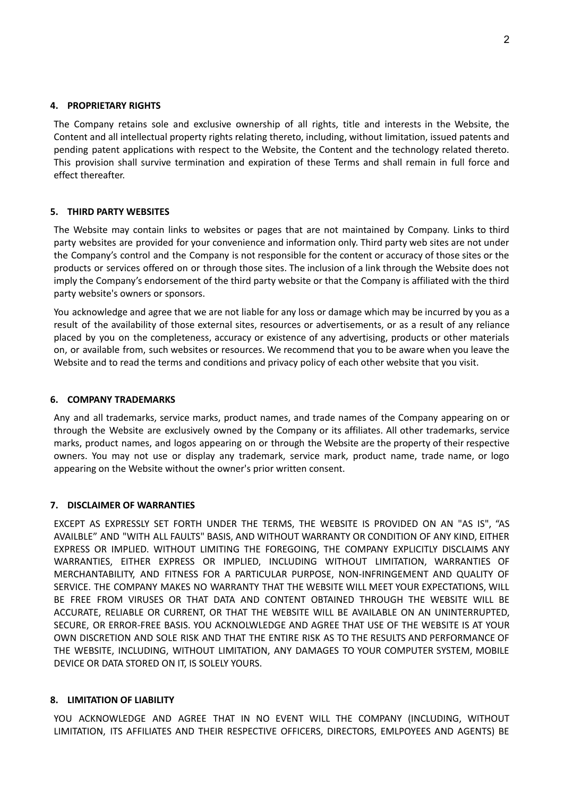### **4. PROPRIETARY RIGHTS**

The Company retains sole and exclusive ownership of all rights, title and interests in the Website, the Content and all intellectual property rights relating thereto, including, without limitation, issued patents and pending patent applications with respect to the Website, the Content and the technology related thereto. This provision shall survive termination and expiration of these Terms and shall remain in full force and effect thereafter.

### **5. THIRD PARTY WEBSITES**

The Website may contain links to websites or pages that are not maintained by Company. Links to third party websites are provided for your convenience and information only. Third party web sites are not under the Company's control and the Company is not responsible for the content or accuracy of those sites or the products or services offered on or through those sites. The inclusion of a link through the Website does not imply the Company's endorsement of the third party website or that the Company is affiliated with the third party website's owners or sponsors.

You acknowledge and agree that we are not liable for any loss or damage which may be incurred by you as a result of the availability of those external sites, resources or advertisements, or as a result of any reliance placed by you on the completeness, accuracy or existence of any advertising, products or other materials on, or available from, such websites or resources. We recommend that you to be aware when you leave the Website and to read the terms and conditions and privacy policy of each other website that you visit.

### **6. COMPANY TRADEMARKS**

Any and all trademarks, service marks, product names, and trade names of the Company appearing on or through the Website are exclusively owned by the Company or its affiliates. All other trademarks, service marks, product names, and logos appearing on or through the Website are the property of their respective owners. You may not use or display any trademark, service mark, product name, trade name, or logo appearing on the Website without the owner's prior written consent.

### **7. DISCLAIMER OF WARRANTIES**

EXCEPT AS EXPRESSLY SET FORTH UNDER THE TERMS, THE WEBSITE IS PROVIDED ON AN "AS IS", "AS AVAILBLE" AND "WITH ALL FAULTS" BASIS, AND WITHOUT WARRANTY OR CONDITION OF ANY KIND, EITHER EXPRESS OR IMPLIED. WITHOUT LIMITING THE FOREGOING, THE COMPANY EXPLICITLY DISCLAIMS ANY WARRANTIES, EITHER EXPRESS OR IMPLIED, INCLUDING WITHOUT LIMITATION, WARRANTIES OF MERCHANTABILITY, AND FITNESS FOR A PARTICULAR PURPOSE, NON-INFRINGEMENT AND QUALITY OF SERVICE. THE COMPANY MAKES NO WARRANTY THAT THE WEBSITE WILL MEET YOUR EXPECTATIONS, WILL BE FREE FROM VIRUSES OR THAT DATA AND CONTENT OBTAINED THROUGH THE WEBSITE WILL BE ACCURATE, RELIABLE OR CURRENT, OR THAT THE WEBSITE WILL BE AVAILABLE ON AN UNINTERRUPTED, SECURE, OR ERROR-FREE BASIS. YOU ACKNOLWLEDGE AND AGREE THAT USE OF THE WEBSITE IS AT YOUR OWN DISCRETION AND SOLE RISK AND THAT THE ENTIRE RISK AS TO THE RESULTS AND PERFORMANCE OF THE WEBSITE, INCLUDING, WITHOUT LIMITATION, ANY DAMAGES TO YOUR COMPUTER SYSTEM, MOBILE DEVICE OR DATA STORED ON IT, IS SOLELY YOURS.

# **8. LIMITATION OF LIABILITY**

YOU ACKNOWLEDGE AND AGREE THAT IN NO EVENT WILL THE COMPANY (INCLUDING, WITHOUT LIMITATION, ITS AFFILIATES AND THEIR RESPECTIVE OFFICERS, DIRECTORS, EMLPOYEES AND AGENTS) BE